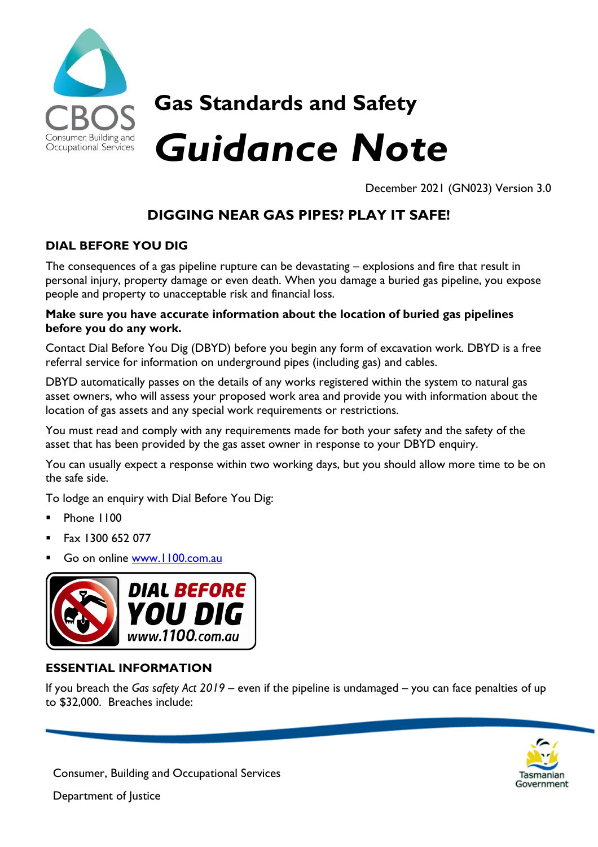

## **Gas Standards and Safety**

# *Guidance Note*

December 2021 (GN023) Version 3.0

### **DIGGING NEAR GAS PIPES? PLAY IT SAFE!**

#### **DIAL BEFORE YOU DIG**

The consequences of a gas pipeline rupture can be devastating – explosions and fire that result in personal injury, property damage or even death. When you damage a buried gas pipeline, you expose people and property to unacceptable risk and financial loss.

#### **Make sure you have accurate information about the location of buried gas pipelines before you do any work.**

Contact Dial Before You Dig (DBYD) before you begin any form of excavation work. DBYD is a free referral service for information on underground pipes (including gas) and cables.

DBYD automatically passes on the details of any works registered within the system to natural gas asset owners, who will assess your proposed work area and provide you with information about the location of gas assets and any special work requirements or restrictions.

You must read and comply with any requirements made for both your safety and the safety of the asset that has been provided by the gas asset owner in response to your DBYD enquiry.

You can usually expect a response within two working days, but you should allow more time to be on the safe side.

To lodge an enquiry with Dial Before You Dig:

- Phone 1100
- Fax 1300 652 077
- Go on online [www.1100.com.au](http://www.1100.com.au/)



#### **ESSENTIAL INFORMATION**

If you breach the *Gas safety Act 2019* – even if the pipeline is undamaged – you can face penalties of up to \$32,000. Breaches include:



Consumer, Building and Occupational Services

Department of Justice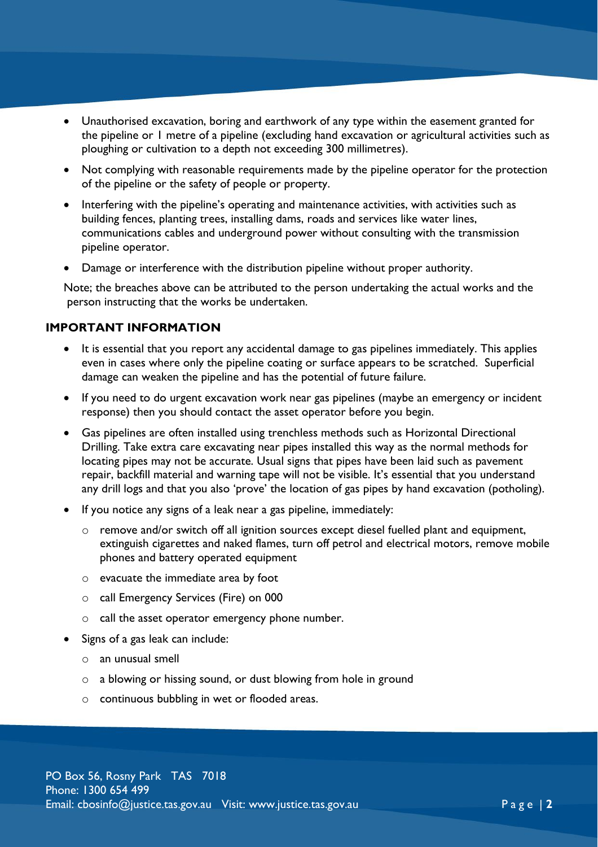- Unauthorised excavation, boring and earthwork of any type within the easement granted for the pipeline or 1 metre of a pipeline (excluding hand excavation or agricultural activities such as ploughing or cultivation to a depth not exceeding 300 millimetres).
- Not complying with reasonable requirements made by the pipeline operator for the protection of the pipeline or the safety of people or property.
- Interfering with the pipeline's operating and maintenance activities, with activities such as building fences, planting trees, installing dams, roads and services like water lines, communications cables and underground power without consulting with the transmission pipeline operator.
- Damage or interference with the distribution pipeline without proper authority.

Note; the breaches above can be attributed to the person undertaking the actual works and the person instructing that the works be undertaken.

#### **IMPORTANT INFORMATION**

- It is essential that you report any accidental damage to gas pipelines immediately. This applies even in cases where only the pipeline coating or surface appears to be scratched. Superficial damage can weaken the pipeline and has the potential of future failure.
- If you need to do urgent excavation work near gas pipelines (maybe an emergency or incident response) then you should contact the asset operator before you begin.
- Gas pipelines are often installed using trenchless methods such as Horizontal Directional Drilling. Take extra care excavating near pipes installed this way as the normal methods for locating pipes may not be accurate. Usual signs that pipes have been laid such as pavement repair, backfill material and warning tape will not be visible. It's essential that you understand any drill logs and that you also 'prove' the location of gas pipes by hand excavation (potholing).
- If you notice any signs of a leak near a gas pipeline, immediately:
	- o remove and/or switch off all ignition sources except diesel fuelled plant and equipment, extinguish cigarettes and naked flames, turn off petrol and electrical motors, remove mobile phones and battery operated equipment
	- o evacuate the immediate area by foot
	- o call Emergency Services (Fire) on 000
	- o call the asset operator emergency phone number.
- Signs of a gas leak can include:
	- o an unusual smell
	- o a blowing or hissing sound, or dust blowing from hole in ground
	- o continuous bubbling in wet or flooded areas.